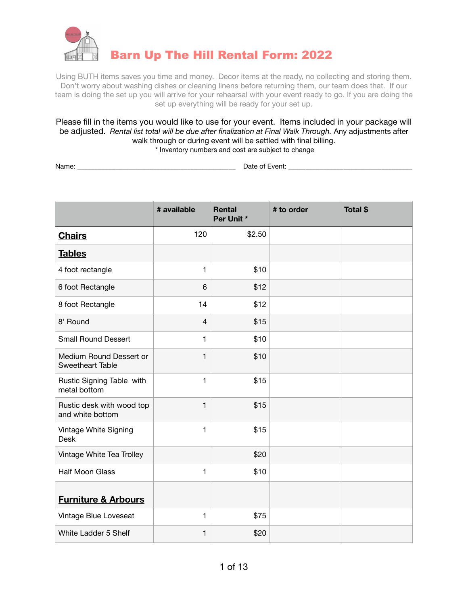

Using BUTH items saves you time and money. Decor items at the ready, no collecting and storing them. Don't worry about washing dishes or cleaning linens before returning them, our team does that. If our team is doing the set up you will arrive for your rehearsal with your event ready to go. If you are doing the set up everything will be ready for your set up.

Please fill in the items you would like to use for your event. Items included in your package will be adjusted. *Rental list total will be due after finalization at Final Walk Through.* Any adjustments after walk through or during event will be settled with final billing. \* Inventory numbers and cost are subject to change

Name: \_\_\_\_\_\_\_\_\_\_\_\_\_\_\_\_\_\_\_\_\_\_\_\_\_\_\_\_\_\_\_\_\_\_\_\_\_\_\_\_\_\_\_\_\_\_ Date of Event: \_\_\_\_\_\_\_\_\_\_\_\_\_\_\_\_\_\_\_\_\_\_\_\_\_\_\_\_\_\_\_\_\_\_\_\_

|                                               | # available  | <b>Rental</b><br>Per Unit * | # to order | Total \$ |
|-----------------------------------------------|--------------|-----------------------------|------------|----------|
| <b>Chairs</b>                                 | 120          | \$2.50                      |            |          |
| <b>Tables</b>                                 |              |                             |            |          |
| 4 foot rectangle                              | $\mathbf{1}$ | \$10                        |            |          |
| 6 foot Rectangle                              | 6            | \$12                        |            |          |
| 8 foot Rectangle                              | 14           | \$12                        |            |          |
| 8' Round                                      | 4            | \$15                        |            |          |
| <b>Small Round Dessert</b>                    | $\mathbf{1}$ | \$10                        |            |          |
| Medium Round Dessert or<br>Sweetheart Table   | 1            | \$10                        |            |          |
| Rustic Signing Table with<br>metal bottom     | $\mathbf{1}$ | \$15                        |            |          |
| Rustic desk with wood top<br>and white bottom | $\mathbf{1}$ | \$15                        |            |          |
| Vintage White Signing<br><b>Desk</b>          | $\mathbf{1}$ | \$15                        |            |          |
| Vintage White Tea Trolley                     |              | \$20                        |            |          |
| <b>Half Moon Glass</b>                        | $\mathbf{1}$ | \$10                        |            |          |
| <b>Furniture &amp; Arbours</b>                |              |                             |            |          |
| Vintage Blue Loveseat                         | 1            | \$75                        |            |          |
| White Ladder 5 Shelf                          | 1            | \$20                        |            |          |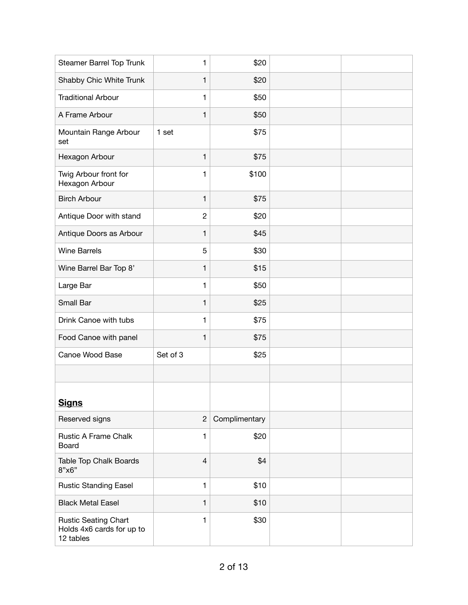| Steamer Barrel Top Trunk                                              | $\mathbf{1}$   | \$20          |  |
|-----------------------------------------------------------------------|----------------|---------------|--|
| Shabby Chic White Trunk                                               | $\mathbf{1}$   | \$20          |  |
| <b>Traditional Arbour</b>                                             | $\mathbf{1}$   | \$50          |  |
| A Frame Arbour                                                        | $\mathbf{1}$   | \$50          |  |
| Mountain Range Arbour<br>set                                          | 1 set          | \$75          |  |
| Hexagon Arbour                                                        | $\mathbf{1}$   | \$75          |  |
| Twig Arbour front for<br>Hexagon Arbour                               | 1              | \$100         |  |
| <b>Birch Arbour</b>                                                   | $\mathbf{1}$   | \$75          |  |
| Antique Door with stand                                               | $\overline{c}$ | \$20          |  |
| Antique Doors as Arbour                                               | $\mathbf{1}$   | \$45          |  |
| <b>Wine Barrels</b>                                                   | 5              | \$30          |  |
| Wine Barrel Bar Top 8'                                                | $\mathbf{1}$   | \$15          |  |
| Large Bar                                                             | $\mathbf{1}$   | \$50          |  |
| Small Bar                                                             | $\mathbf{1}$   | \$25          |  |
| Drink Canoe with tubs                                                 | $\mathbf{1}$   | \$75          |  |
| Food Canoe with panel                                                 | $\mathbf{1}$   | \$75          |  |
| Canoe Wood Base                                                       | Set of 3       | \$25          |  |
|                                                                       |                |               |  |
| <b>Signs</b>                                                          |                |               |  |
| Reserved signs                                                        | $\overline{2}$ | Complimentary |  |
| <b>Rustic A Frame Chalk</b><br>Board                                  | 1              | \$20          |  |
| Table Top Chalk Boards<br>8"x6"                                       | $\overline{4}$ | \$4           |  |
| <b>Rustic Standing Easel</b>                                          | $\mathbf{1}$   | \$10          |  |
| <b>Black Metal Easel</b>                                              | $\mathbf{1}$   | \$10          |  |
| <b>Rustic Seating Chart</b><br>Holds 4x6 cards for up to<br>12 tables | $\mathbf{1}$   | \$30          |  |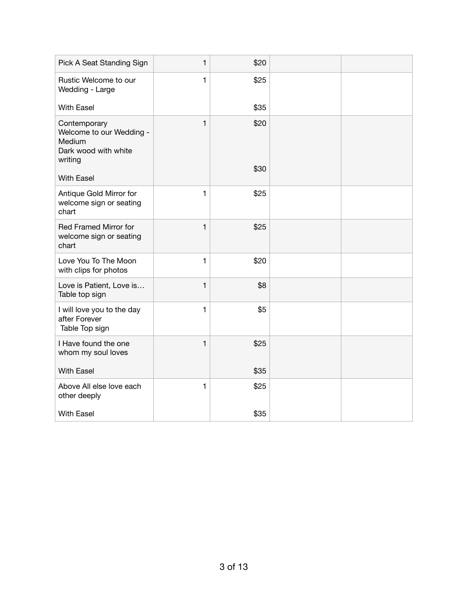| Pick A Seat Standing Sign                                                             | $\mathbf{1}$ | \$20 |  |
|---------------------------------------------------------------------------------------|--------------|------|--|
| Rustic Welcome to our<br>Wedding - Large                                              | $\mathbf{1}$ | \$25 |  |
| <b>With Easel</b>                                                                     |              | \$35 |  |
| Contemporary<br>Welcome to our Wedding -<br>Medium<br>Dark wood with white<br>writing | $\mathbf{1}$ | \$20 |  |
| <b>With Easel</b>                                                                     |              | \$30 |  |
| Antique Gold Mirror for<br>welcome sign or seating<br>chart                           | $\mathbf{1}$ | \$25 |  |
| Red Framed Mirror for<br>welcome sign or seating<br>chart                             | 1            | \$25 |  |
| Love You To The Moon<br>with clips for photos                                         | $\mathbf{1}$ | \$20 |  |
| Love is Patient, Love is<br>Table top sign                                            | $\mathbf{1}$ | \$8  |  |
| I will love you to the day<br>after Forever<br>Table Top sign                         | 1            | \$5  |  |
| I Have found the one<br>whom my soul loves                                            | $\mathbf{1}$ | \$25 |  |
| <b>With Easel</b>                                                                     |              | \$35 |  |
| Above All else love each<br>other deeply                                              | $\mathbf{1}$ | \$25 |  |
| <b>With Easel</b>                                                                     |              | \$35 |  |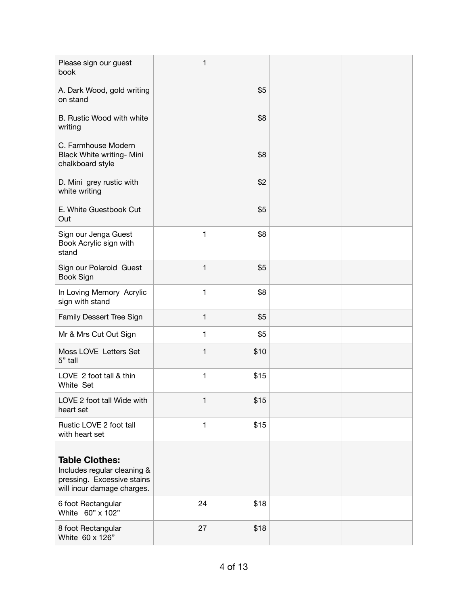| Please sign our guest<br>book                                                                                    | 1            |      |  |
|------------------------------------------------------------------------------------------------------------------|--------------|------|--|
| A. Dark Wood, gold writing<br>on stand                                                                           |              | \$5  |  |
| B. Rustic Wood with white<br>writing                                                                             |              | \$8  |  |
| C. Farmhouse Modern<br>Black White writing- Mini<br>chalkboard style                                             |              | \$8  |  |
| D. Mini grey rustic with<br>white writing                                                                        |              | \$2  |  |
| E. White Guestbook Cut<br>Out                                                                                    |              | \$5  |  |
| Sign our Jenga Guest<br>Book Acrylic sign with<br>stand                                                          | 1            | \$8  |  |
| Sign our Polaroid Guest<br>Book Sign                                                                             | 1            | \$5  |  |
| In Loving Memory Acrylic<br>sign with stand                                                                      | 1            | \$8  |  |
| Family Dessert Tree Sign                                                                                         | 1            | \$5  |  |
| Mr & Mrs Cut Out Sign                                                                                            | 1            | \$5  |  |
| Moss LOVE Letters Set<br>5" tall                                                                                 | 1            | \$10 |  |
| LOVE 2 foot tall & thin<br>White Set                                                                             | 1            | \$15 |  |
| LOVE 2 foot tall Wide with<br>heart set                                                                          | 1            | \$15 |  |
| Rustic LOVE 2 foot tall<br>with heart set                                                                        | $\mathbf{1}$ | \$15 |  |
| <b>Table Clothes:</b><br>Includes regular cleaning &<br>pressing. Excessive stains<br>will incur damage charges. |              |      |  |
| 6 foot Rectangular<br>White 60" x 102"                                                                           | 24           | \$18 |  |
| 8 foot Rectangular<br>White 60 x 126"                                                                            | 27           | \$18 |  |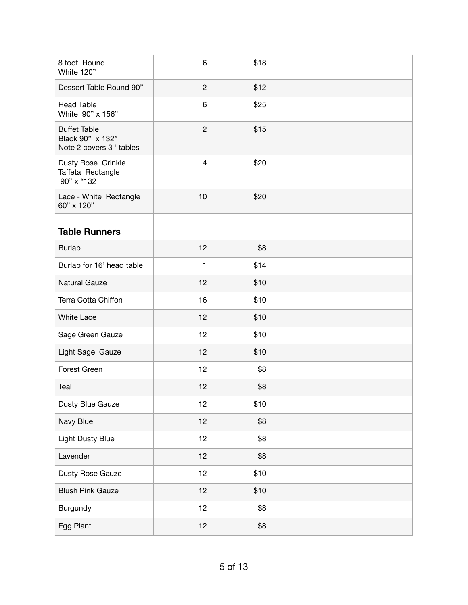| 8 foot Round<br>White 120"                                          | 6               | \$18 |  |
|---------------------------------------------------------------------|-----------------|------|--|
| Dessert Table Round 90"                                             | $\overline{c}$  | \$12 |  |
| <b>Head Table</b><br>White 90" x 156"                               | 6               | \$25 |  |
| <b>Buffet Table</b><br>Black 90" x 132"<br>Note 2 covers 3 ' tables | $\overline{c}$  | \$15 |  |
| Dusty Rose Crinkle<br>Taffeta Rectangle<br>90" x "132               | $\overline{4}$  | \$20 |  |
| Lace - White Rectangle<br>60" x 120"                                | 10              | \$20 |  |
| <b>Table Runners</b>                                                |                 |      |  |
| <b>Burlap</b>                                                       | 12              | \$8  |  |
| Burlap for 16' head table                                           | $\mathbf{1}$    | \$14 |  |
| <b>Natural Gauze</b>                                                | 12              | \$10 |  |
| Terra Cotta Chiffon                                                 | 16              | \$10 |  |
| <b>White Lace</b>                                                   | 12              | \$10 |  |
| Sage Green Gauze                                                    | 12              | \$10 |  |
| Light Sage Gauze                                                    | 12              | \$10 |  |
| Forest Green                                                        | 12              | \$8  |  |
| Teal                                                                | 12              | \$8  |  |
| Dusty Blue Gauze                                                    | 12              | \$10 |  |
| Navy Blue                                                           | 12              | \$8  |  |
| <b>Light Dusty Blue</b>                                             | 12 <sub>2</sub> | \$8  |  |
| Lavender                                                            | 12 <sub>2</sub> | \$8  |  |
| Dusty Rose Gauze                                                    | 12 <sub>2</sub> | \$10 |  |
| <b>Blush Pink Gauze</b>                                             | 12              | \$10 |  |
| Burgundy                                                            | 12 <sub>2</sub> | \$8  |  |
| Egg Plant                                                           | 12              | \$8  |  |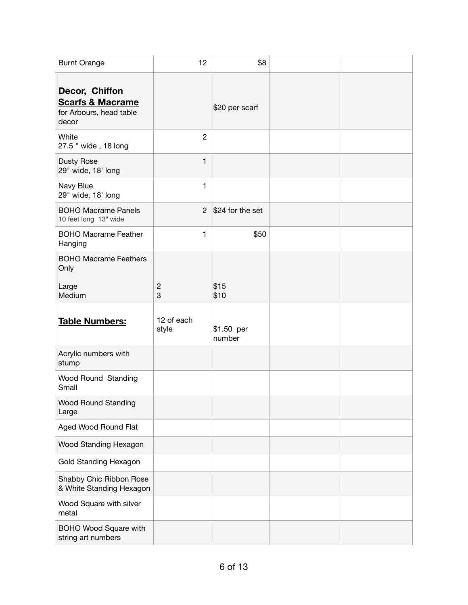| <b>Burnt Orange</b>                                                               | 12                  | \$8                  |  |
|-----------------------------------------------------------------------------------|---------------------|----------------------|--|
| Decor, Chiffon<br><b>Scarfs &amp; Macrame</b><br>for Arbours, head table<br>decor |                     | \$20 per scarf       |  |
| White<br>27.5 " wide, 18 long                                                     | $\overline{2}$      |                      |  |
| <b>Dusty Rose</b><br>29" wide, 18' long                                           | $\mathbf{1}$        |                      |  |
| Navy Blue<br>29" wide, 18' long                                                   | $\mathbf{1}$        |                      |  |
| <b>BOHO Macrame Panels</b><br>10 feet long 13" wide                               | $\overline{2}$      | \$24 for the set     |  |
| <b>BOHO Macrame Feather</b><br>Hanging                                            | $\mathbf{1}$        | \$50                 |  |
| <b>BOHO Macrame Feathers</b><br>Only                                              |                     |                      |  |
| Large<br>Medium                                                                   | $\mathbf{2}$<br>3   | \$15<br>\$10         |  |
| <b>Table Numbers:</b>                                                             | 12 of each<br>style | \$1.50 per<br>number |  |
| Acrylic numbers with<br>stump                                                     |                     |                      |  |
| Wood Round Standing<br>Small                                                      |                     |                      |  |
| <b>Wood Round Standing</b><br>Large                                               |                     |                      |  |
| Aged Wood Round Flat                                                              |                     |                      |  |
| Wood Standing Hexagon                                                             |                     |                      |  |
| <b>Gold Standing Hexagon</b>                                                      |                     |                      |  |
| Shabby Chic Ribbon Rose<br>& White Standing Hexagon                               |                     |                      |  |
| Wood Square with silver<br>metal                                                  |                     |                      |  |
| BOHO Wood Square with<br>string art numbers                                       |                     |                      |  |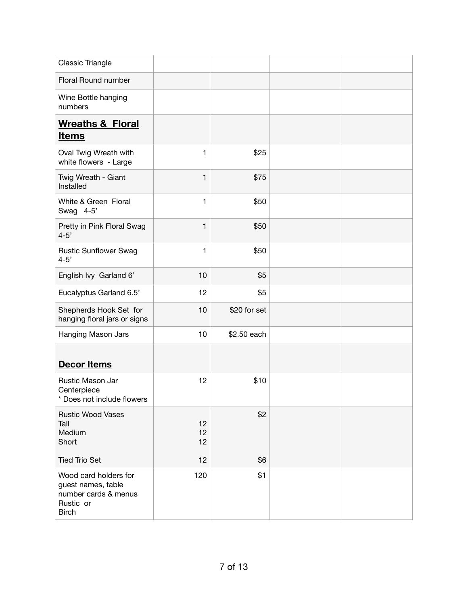| Classic Triangle                                                                                 |                 |              |  |
|--------------------------------------------------------------------------------------------------|-----------------|--------------|--|
| Floral Round number                                                                              |                 |              |  |
| Wine Bottle hanging<br>numbers                                                                   |                 |              |  |
| <b>Wreaths &amp; Floral</b><br><b>Items</b>                                                      |                 |              |  |
| Oval Twig Wreath with<br>white flowers - Large                                                   | $\mathbf{1}$    | \$25         |  |
| Twig Wreath - Giant<br>Installed                                                                 | $\mathbf{1}$    | \$75         |  |
| White & Green Floral<br>Swag 4-5'                                                                | $\mathbf{1}$    | \$50         |  |
| Pretty in Pink Floral Swag<br>$4 - 5'$                                                           | $\mathbf{1}$    | \$50         |  |
| <b>Rustic Sunflower Swag</b><br>$4 - 5'$                                                         | $\mathbf{1}$    | \$50         |  |
| English Ivy Garland 6'                                                                           | 10              | \$5          |  |
| Eucalyptus Garland 6.5'                                                                          | 12              | \$5          |  |
| Shepherds Hook Set for<br>hanging floral jars or signs                                           | 10              | \$20 for set |  |
| Hanging Mason Jars                                                                               | 10 <sub>1</sub> | \$2.50 each  |  |
| <b>Decor Items</b>                                                                               |                 |              |  |
| Rustic Mason Jar<br>Centerpiece<br>Does not include flowers                                      | 12              | \$10         |  |
| <b>Rustic Wood Vases</b><br>Tall<br>Medium<br>Short                                              | 12<br>12<br>12  | \$2          |  |
| <b>Tied Trio Set</b>                                                                             | 12              | \$6          |  |
| Wood card holders for<br>guest names, table<br>number cards & menus<br>Rustic or<br><b>Birch</b> | 120             | \$1          |  |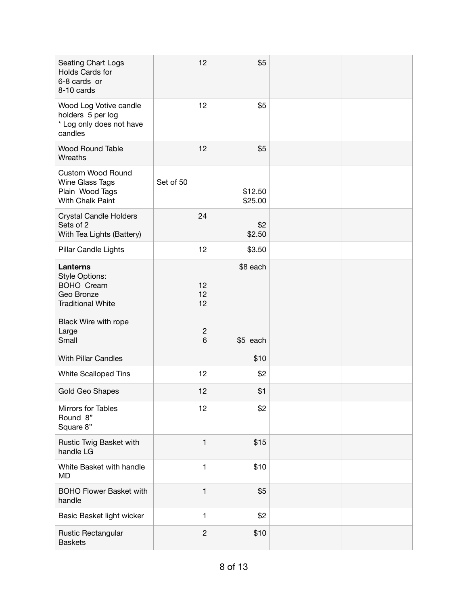| <b>Seating Chart Logs</b><br>Holds Cards for<br>6-8 cards or<br>8-10 cards                                                                        | 12                                  | \$5                  |  |
|---------------------------------------------------------------------------------------------------------------------------------------------------|-------------------------------------|----------------------|--|
| Wood Log Votive candle<br>holders 5 per log<br>* Log only does not have<br>candles                                                                | 12                                  | \$5                  |  |
| <b>Wood Round Table</b><br>Wreaths                                                                                                                | 12                                  | \$5                  |  |
| <b>Custom Wood Round</b><br>Wine Glass Tags<br>Plain Wood Tags<br>With Chalk Paint                                                                | Set of 50                           | \$12.50<br>\$25.00   |  |
| <b>Crystal Candle Holders</b><br>Sets of 2<br>With Tea Lights (Battery)                                                                           | 24                                  | \$2<br>\$2.50        |  |
| Pillar Candle Lights                                                                                                                              | 12                                  | \$3.50               |  |
| <b>Lanterns</b><br><b>Style Options:</b><br><b>BOHO Cream</b><br>Geo Bronze<br><b>Traditional White</b><br>Black Wire with rope<br>Large<br>Small | 12<br>12<br>12<br>$\mathbf{2}$<br>6 | \$8 each<br>\$5 each |  |
| <b>With Pillar Candles</b>                                                                                                                        |                                     | \$10                 |  |
| <b>White Scalloped Tins</b>                                                                                                                       | 12                                  | \$2                  |  |
| Gold Geo Shapes                                                                                                                                   | 12                                  | \$1                  |  |
| Mirrors for Tables<br>Round 8"<br>Square 8"                                                                                                       | 12                                  | \$2                  |  |
| Rustic Twig Basket with<br>handle LG                                                                                                              | 1                                   | \$15                 |  |
| White Basket with handle<br><b>MD</b>                                                                                                             | $\mathbf{1}$                        | \$10                 |  |
| <b>BOHO Flower Basket with</b><br>handle                                                                                                          | 1                                   | \$5                  |  |
| Basic Basket light wicker                                                                                                                         | $\mathbf{1}$                        | \$2                  |  |
| Rustic Rectangular<br><b>Baskets</b>                                                                                                              | $\overline{c}$                      | \$10                 |  |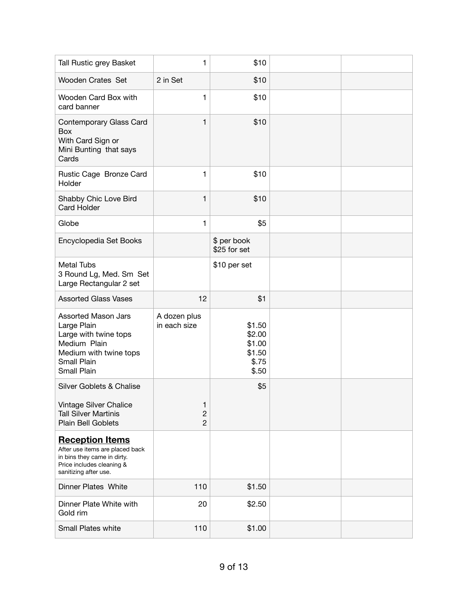| Tall Rustic grey Basket                                                                                                                        | $\mathbf{1}$                            | \$10                                                   |  |
|------------------------------------------------------------------------------------------------------------------------------------------------|-----------------------------------------|--------------------------------------------------------|--|
| Wooden Crates Set                                                                                                                              | 2 in Set                                | \$10                                                   |  |
| Wooden Card Box with<br>card banner                                                                                                            | $\mathbf{1}$                            | \$10                                                   |  |
| Contemporary Glass Card<br>Box<br>With Card Sign or<br>Mini Bunting that says<br>Cards                                                         | $\mathbf{1}$                            | \$10                                                   |  |
| Rustic Cage Bronze Card<br>Holder                                                                                                              | 1                                       | \$10                                                   |  |
| Shabby Chic Love Bird<br><b>Card Holder</b>                                                                                                    | $\mathbf{1}$                            | \$10                                                   |  |
| Globe                                                                                                                                          | $\mathbf{1}$                            | \$5                                                    |  |
| Encyclopedia Set Books                                                                                                                         |                                         | \$ per book<br>\$25 for set                            |  |
| <b>Metal Tubs</b><br>3 Round Lg, Med. Sm Set<br>Large Rectangular 2 set                                                                        |                                         | \$10 per set                                           |  |
| <b>Assorted Glass Vases</b>                                                                                                                    | 12                                      | \$1                                                    |  |
| <b>Assorted Mason Jars</b><br>Large Plain<br>Large with twine tops<br>Medium Plain<br>Medium with twine tops<br>Small Plain<br>Small Plain     | A dozen plus<br>in each size            | \$1.50<br>\$2.00<br>\$1.00<br>\$1.50<br>\$.75<br>\$.50 |  |
| Silver Goblets & Chalise                                                                                                                       |                                         | \$5                                                    |  |
| Vintage Silver Chalice<br><b>Tall Silver Martinis</b><br><b>Plain Bell Goblets</b>                                                             | 1<br>$\boldsymbol{2}$<br>$\overline{c}$ |                                                        |  |
| <b>Reception Items</b><br>After use items are placed back<br>in bins they came in dirty.<br>Price includes cleaning &<br>sanitizing after use. |                                         |                                                        |  |
| <b>Dinner Plates White</b>                                                                                                                     | 110                                     | \$1.50                                                 |  |
| Dinner Plate White with<br>Gold rim                                                                                                            | 20                                      | \$2.50                                                 |  |
| Small Plates white                                                                                                                             | 110                                     | \$1.00                                                 |  |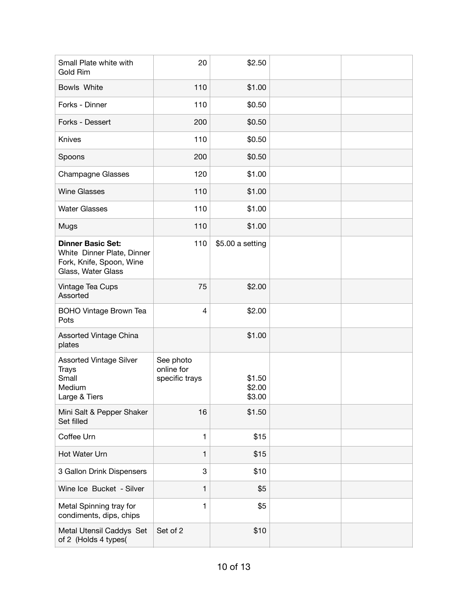| Small Plate white with<br><b>Gold Rim</b>                                                                | 20                                        | \$2.50                     |  |
|----------------------------------------------------------------------------------------------------------|-------------------------------------------|----------------------------|--|
| Bowls White                                                                                              | 110                                       | \$1.00                     |  |
| Forks - Dinner                                                                                           | 110                                       | \$0.50                     |  |
| Forks - Dessert                                                                                          | 200                                       | \$0.50                     |  |
| Knives                                                                                                   | 110                                       | \$0.50                     |  |
| Spoons                                                                                                   | 200                                       | \$0.50                     |  |
| <b>Champagne Glasses</b>                                                                                 | 120                                       | \$1.00                     |  |
| <b>Wine Glasses</b>                                                                                      | 110                                       | \$1.00                     |  |
| <b>Water Glasses</b>                                                                                     | 110                                       | \$1.00                     |  |
| Mugs                                                                                                     | 110                                       | \$1.00                     |  |
| <b>Dinner Basic Set:</b><br>White Dinner Plate, Dinner<br>Fork, Knife, Spoon, Wine<br>Glass, Water Glass | 110                                       | \$5.00 a setting           |  |
| Vintage Tea Cups<br>Assorted                                                                             | 75                                        | \$2.00                     |  |
| <b>BOHO Vintage Brown Tea</b><br>Pots                                                                    | 4                                         | \$2.00                     |  |
| Assorted Vintage China<br>plates                                                                         |                                           | \$1.00                     |  |
| <b>Assorted Vintage Silver</b><br><b>Trays</b><br>Small<br>Medium<br>Large & Tiers                       | See photo<br>online for<br>specific trays | \$1.50<br>\$2.00<br>\$3.00 |  |
| Mini Salt & Pepper Shaker<br>Set filled                                                                  | 16                                        | \$1.50                     |  |
| Coffee Urn                                                                                               | $\mathbf{1}$                              | \$15                       |  |
| Hot Water Urn                                                                                            | $\mathbf{1}$                              | \$15                       |  |
| 3 Gallon Drink Dispensers                                                                                | 3                                         | \$10                       |  |
| Wine Ice Bucket - Silver                                                                                 | 1                                         | \$5                        |  |
| Metal Spinning tray for<br>condiments, dips, chips                                                       | 1                                         | \$5                        |  |
| Metal Utensil Caddys Set<br>of 2 (Holds 4 types(                                                         | Set of 2                                  | \$10                       |  |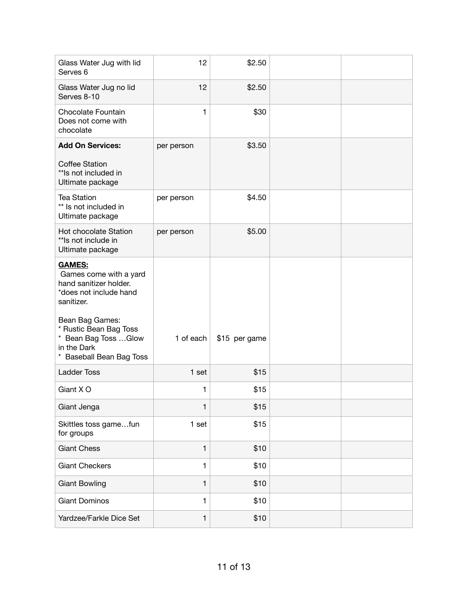| Glass Water Jug with lid<br>Serves <sub>6</sub>                                                                    | 12           | \$2.50        |  |
|--------------------------------------------------------------------------------------------------------------------|--------------|---------------|--|
| Glass Water Jug no lid<br>Serves 8-10                                                                              | 12           | \$2.50        |  |
| Chocolate Fountain<br>Does not come with<br>chocolate                                                              | $\mathbf{1}$ | \$30          |  |
| <b>Add On Services:</b>                                                                                            | per person   | \$3.50        |  |
| <b>Coffee Station</b><br>** Is not included in<br>Ultimate package                                                 |              |               |  |
| <b>Tea Station</b><br>** Is not included in<br>Ultimate package                                                    | per person   | \$4.50        |  |
| Hot chocolate Station<br>** Is not include in<br>Ultimate package                                                  | per person   | \$5.00        |  |
| <b>GAMES:</b><br>Games come with a yard<br>hand sanitizer holder.<br>*does not include hand<br>sanitizer.          |              |               |  |
| Bean Bag Games:<br>* Rustic Bean Bag Toss<br>* Bean Bag Toss  Glow<br>in the Dark<br><b>Baseball Bean Bag Toss</b> | 1 of each    | \$15 per game |  |
| <b>Ladder Toss</b>                                                                                                 | 1 set        | \$15          |  |
| Giant X O                                                                                                          | 1            | \$15          |  |
| Giant Jenga                                                                                                        | $\mathbf{1}$ | \$15          |  |
| Skittles toss gamefun<br>for groups                                                                                | 1 set        | \$15          |  |
| <b>Giant Chess</b>                                                                                                 | $\mathbf{1}$ | \$10          |  |
| <b>Giant Checkers</b>                                                                                              | $\mathbf{1}$ | \$10          |  |
| <b>Giant Bowling</b>                                                                                               | $\mathbf{1}$ | \$10          |  |
| <b>Giant Dominos</b>                                                                                               | $\mathbf{1}$ | \$10          |  |
| Yardzee/Farkle Dice Set                                                                                            | $\mathbf{1}$ | \$10          |  |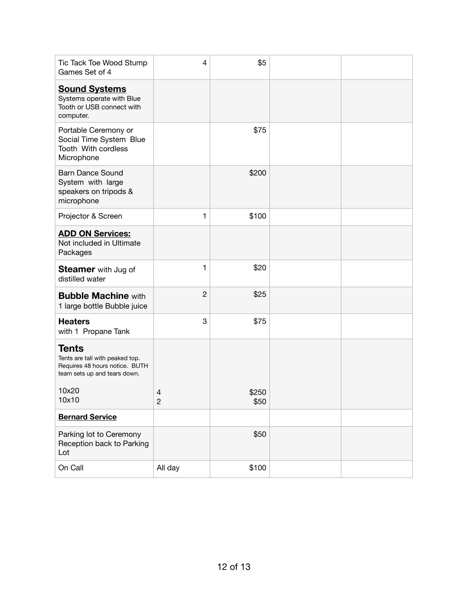| Tic Tack Toe Wood Stump<br>Games Set of 4                                                                         | 4                   | \$5           |  |
|-------------------------------------------------------------------------------------------------------------------|---------------------|---------------|--|
| <b>Sound Systems</b><br>Systems operate with Blue<br>Tooth or USB connect with<br>computer.                       |                     |               |  |
| Portable Ceremony or<br>Social Time System Blue<br>Tooth With cordless<br>Microphone                              |                     | \$75          |  |
| <b>Barn Dance Sound</b><br>System with large<br>speakers on tripods &<br>microphone                               |                     | \$200         |  |
| Projector & Screen                                                                                                | 1                   | \$100         |  |
| <b>ADD ON Services:</b><br>Not included in Ultimate<br>Packages                                                   |                     |               |  |
| <b>Steamer</b> with Jug of<br>distilled water                                                                     | 1                   | \$20          |  |
| <b>Bubble Machine with</b><br>1 large bottle Bubble juice                                                         | $\overline{c}$      | \$25          |  |
| <b>Heaters</b><br>with 1 Propane Tank                                                                             | 3                   | \$75          |  |
| <b>Tents</b><br>Tents are tall with peaked top.<br>Requires 48 hours notice. BUTH<br>team sets up and tears down. |                     |               |  |
| 10x20<br>10x10                                                                                                    | 4<br>$\overline{c}$ | \$250<br>\$50 |  |
| <b>Bernard Service</b>                                                                                            |                     |               |  |
| Parking lot to Ceremony<br>Reception back to Parking<br>Lot                                                       |                     | \$50          |  |
| On Call                                                                                                           | All day             | \$100         |  |